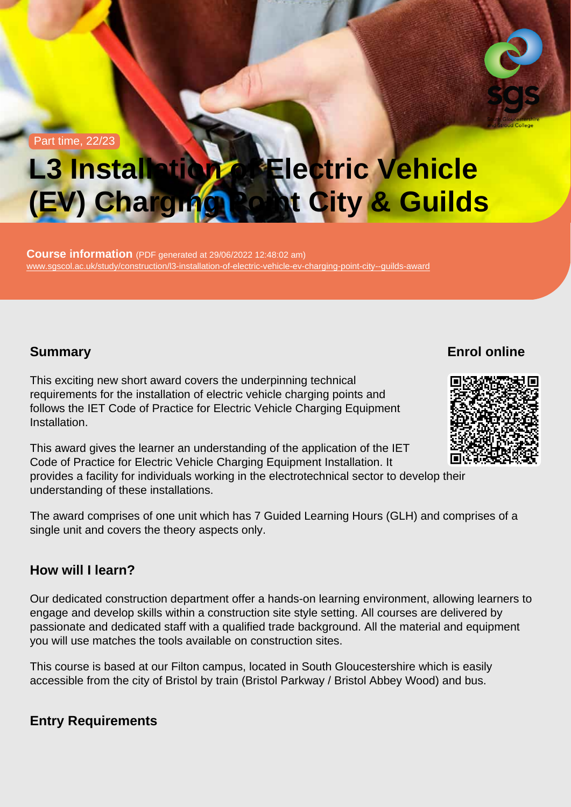Part time, 22/23

# L3 Installation of Electric Vehicle (EV) Charging Point City & Guilds

Course information (PDF generated at 29/06/2022 12:48:02 am) [www.sgscol.ac.uk/study/construction/l3-installation-of-electric-vehicle-ev-charging-point-city--guilds-award](https://www.sgscol.ac.uk/study/construction/l3-installation-of-electric-vehicle-ev-charging-point-city--guilds-award)

### **Summary**

Enrol online

This exciting new short award covers the underpinning technical requirements for the installation of electric vehicle charging points and follows the IET Code of Practice for Electric Vehicle Charging Equipment Installation.

This award gives the learner an understanding of the application of the IET Code of Practice for Electric Vehicle Charging Equipment Installation. It provides a facility for individuals working in the electrotechnical sector to develop their understanding of these installations.

The award comprises of one unit which has 7 Guided Learning Hours (GLH) and comprises of a single unit and covers the theory aspects only.

#### How will I learn?

Our dedicated construction department offer a hands-on learning environment, allowing learners to engage and develop skills within a construction site style setting. All courses are delivered by passionate and dedicated staff with a qualified trade background. All the material and equipment you will use matches the tools available on construction sites.

This course is based at our Filton campus, located in South Gloucestershire which is easily accessible from the city of Bristol by train (Bristol Parkway / Bristol Abbey Wood) and bus.

Entry Requirements